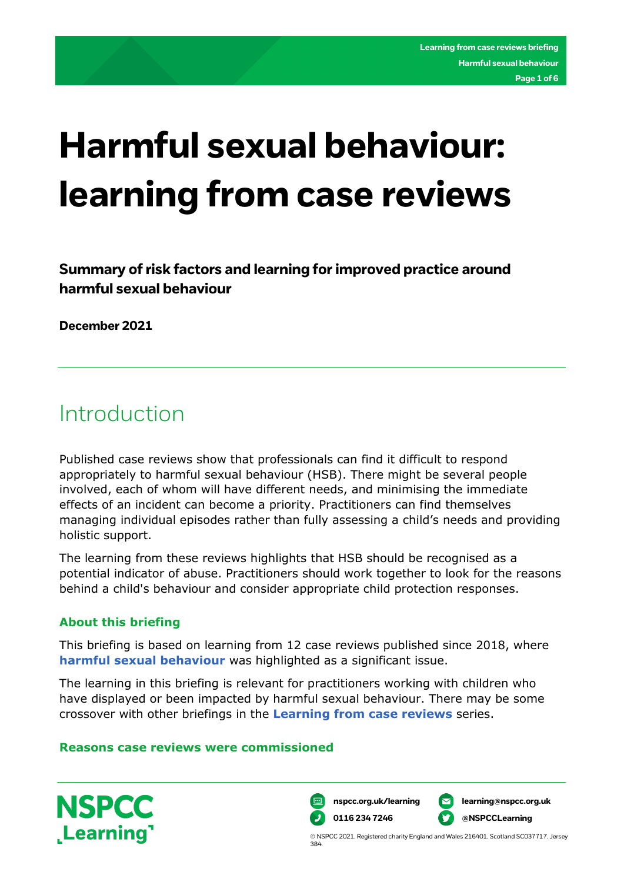# **Harmful sexual behaviour: learning from case reviews**

**Summary of risk factors and learning for improved practice around harmful sexual behaviour** 

**December 2021** 

# Introduction

Published case reviews show that professionals can find it difficult to respond appropriately to harmful sexual behaviour (HSB). There might be several people involved, each of whom will have different needs, and minimising the immediate effects of an incident can become a priority. Practitioners can find themselves managing individual episodes rather than fully assessing a child's needs and providing holistic support.

The learning from these reviews highlights that HSB should be recognised as a potential indicator of abuse. Practitioners should work together to look for the reasons behind a child's behaviour and consider appropriate child protection responses.

# **About this briefing**

**NSPCC** 

Learning<sup>1</sup>

This briefing is based on learning from 12 case reviews published since 2018, where **[harmful sexual behaviour](https://learning.nspcc.org.uk/child-abuse-and-neglect/harmful-sexual-behaviour/understanding)** was highlighted as a significant issue.

The learning in this briefing is relevant for practitioners working with children who have displayed or been impacted by harmful sexual behaviour. There may be some crossover with other briefings in the **[Learning from case reviews](https://learning.nspcc.org.uk/case-reviews/learning-from-case-review-briefings)** series.

# **Reasons case reviews were commissioned**



384.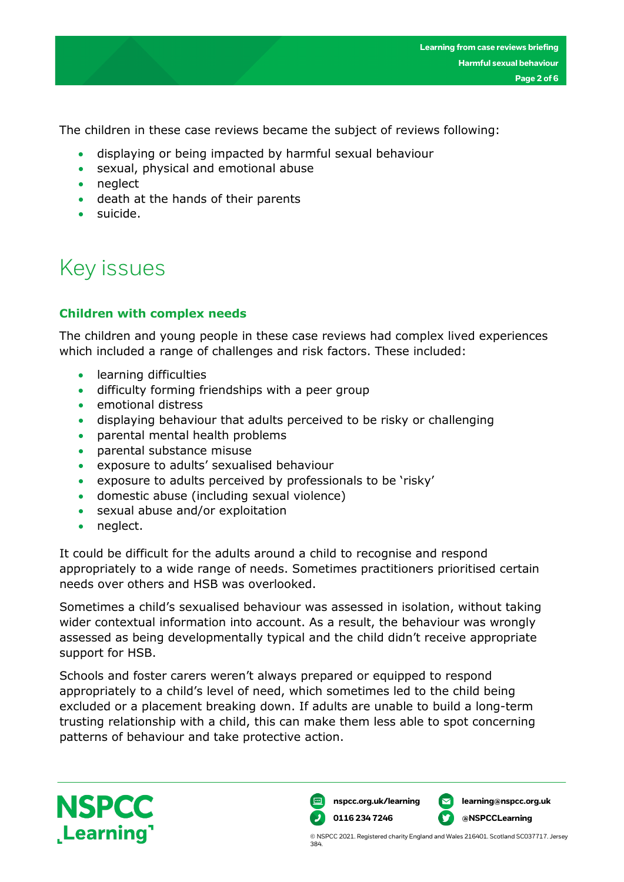**Page 2 of 6**

The children in these case reviews became the subject of reviews following:

- displaying or being impacted by harmful sexual behaviour
- sexual, physical and emotional abuse
- neglect
- death at the hands of their parents
- suicide.

# Key issues

# **Children with complex needs**

The children and young people in these case reviews had complex lived experiences which included a range of challenges and risk factors. These included:

- learning difficulties
- difficulty forming friendships with a peer group
- emotional distress
- displaying behaviour that adults perceived to be risky or challenging
- parental mental health problems
- parental substance misuse
- exposure to adults' sexualised behaviour
- exposure to adults perceived by professionals to be 'risky'
- domestic abuse (including sexual violence)
- sexual abuse and/or exploitation
- neglect.

It could be difficult for the adults around a child to recognise and respond appropriately to a wide range of needs. Sometimes practitioners prioritised certain needs over others and HSB was overlooked.

Sometimes a child's sexualised behaviour was assessed in isolation, without taking wider contextual information into account. As a result, the behaviour was wrongly assessed as being developmentally typical and the child didn't receive appropriate support for HSB.

Schools and foster carers weren't always prepared or equipped to respond appropriately to a child's level of need, which sometimes led to the child being excluded or a placement breaking down. If adults are unable to build a long-term trusting relationship with a child, this can make them less able to spot concerning patterns of behaviour and take protective action.



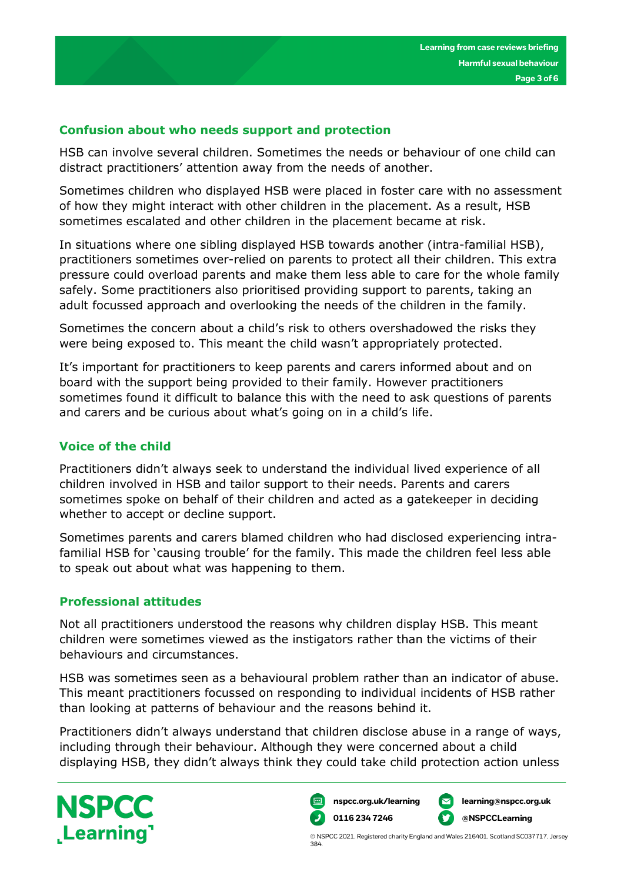### **Confusion about who needs support and protection**

HSB can involve several children. Sometimes the needs or behaviour of one child can distract practitioners' attention away from the needs of another.

Sometimes children who displayed HSB were placed in foster care with no assessment of how they might interact with other children in the placement. As a result, HSB sometimes escalated and other children in the placement became at risk.

In situations where one sibling displayed HSB towards another (intra-familial HSB), practitioners sometimes over-relied on parents to protect all their children. This extra pressure could overload parents and make them less able to care for the whole family safely. Some practitioners also prioritised providing support to parents, taking an adult focussed approach and overlooking the needs of the children in the family.

Sometimes the concern about a child's risk to others overshadowed the risks they were being exposed to. This meant the child wasn't appropriately protected.

It's important for practitioners to keep parents and carers informed about and on board with the support being provided to their family. However practitioners sometimes found it difficult to balance this with the need to ask questions of parents and carers and be curious about what's going on in a child's life.

# **Voice of the child**

Practitioners didn't always seek to understand the individual lived experience of all children involved in HSB and tailor support to their needs. Parents and carers sometimes spoke on behalf of their children and acted as a gatekeeper in deciding whether to accept or decline support.

Sometimes parents and carers blamed children who had disclosed experiencing intrafamilial HSB for 'causing trouble' for the family. This made the children feel less able to speak out about what was happening to them.

#### **Professional attitudes**

Not all practitioners understood the reasons why children display HSB. This meant children were sometimes viewed as the instigators rather than the victims of their behaviours and circumstances.

HSB was sometimes seen as a behavioural problem rather than an indicator of abuse. This meant practitioners focussed on responding to individual incidents of HSB rather than looking at patterns of behaviour and the reasons behind it.

Practitioners didn't always understand that children disclose abuse in a range of ways, including through their behaviour. Although they were concerned about a child displaying HSB, they didn't always think they could take child protection action unless



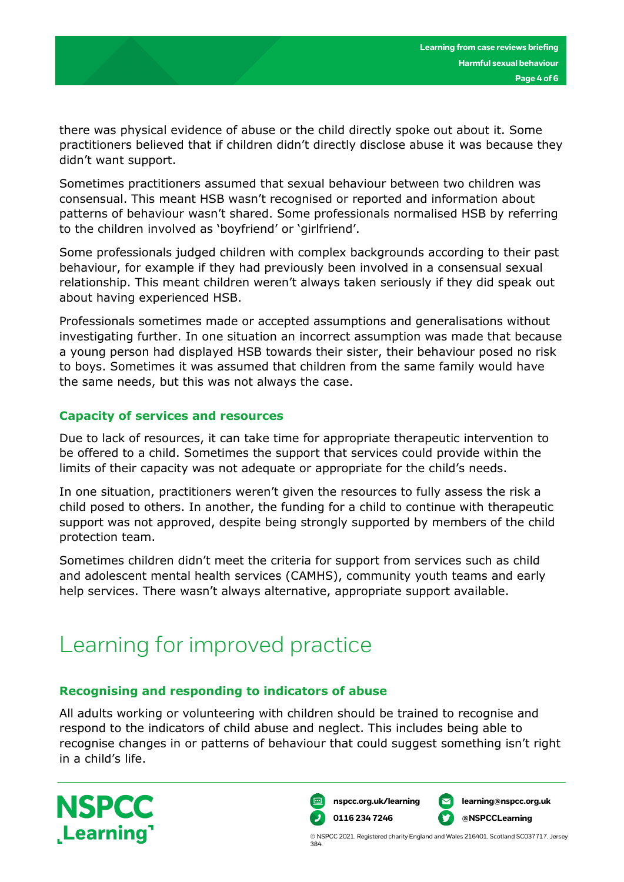there was physical evidence of abuse or the child directly spoke out about it. Some practitioners believed that if children didn't directly disclose abuse it was because they didn't want support.

Sometimes practitioners assumed that sexual behaviour between two children was consensual. This meant HSB wasn't recognised or reported and information about patterns of behaviour wasn't shared. Some professionals normalised HSB by referring to the children involved as 'boyfriend' or 'girlfriend'.

Some professionals judged children with complex backgrounds according to their past behaviour, for example if they had previously been involved in a consensual sexual relationship. This meant children weren't always taken seriously if they did speak out about having experienced HSB.

Professionals sometimes made or accepted assumptions and generalisations without investigating further. In one situation an incorrect assumption was made that because a young person had displayed HSB towards their sister, their behaviour posed no risk to boys. Sometimes it was assumed that children from the same family would have the same needs, but this was not always the case.

# **Capacity of services and resources**

Due to lack of resources, it can take time for appropriate therapeutic intervention to be offered to a child. Sometimes the support that services could provide within the limits of their capacity was not adequate or appropriate for the child's needs.

In one situation, practitioners weren't given the resources to fully assess the risk a child posed to others. In another, the funding for a child to continue with therapeutic support was not approved, despite being strongly supported by members of the child protection team.

Sometimes children didn't meet the criteria for support from services such as child and adolescent mental health services (CAMHS), community youth teams and early help services. There wasn't always alternative, appropriate support available.

# Learning for improved practice

# **Recognising and responding to indicators of abuse**

All adults working or volunteering with children should be trained to recognise and respond to the indicators of child abuse and neglect. This includes being able to recognise changes in or patterns of behaviour that could suggest something isn't right in a child's life.



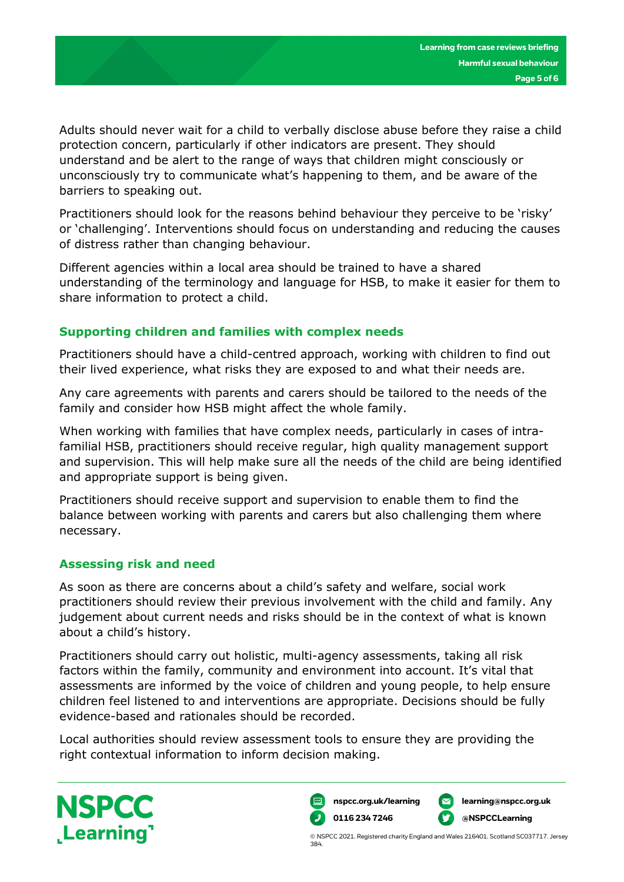Adults should never wait for a child to verbally disclose abuse before they raise a child protection concern, particularly if other indicators are present. They should understand and be alert to the range of ways that children might consciously or unconsciously try to communicate what's happening to them, and be aware of the barriers to speaking out.

Practitioners should look for the reasons behind behaviour they perceive to be 'risky' or 'challenging'. Interventions should focus on understanding and reducing the causes of distress rather than changing behaviour.

Different agencies within a local area should be trained to have a shared understanding of the terminology and language for HSB, to make it easier for them to share information to protect a child.

# **Supporting children and families with complex needs**

Practitioners should have a child-centred approach, working with children to find out their lived experience, what risks they are exposed to and what their needs are.

Any care agreements with parents and carers should be tailored to the needs of the family and consider how HSB might affect the whole family.

When working with families that have complex needs, particularly in cases of intrafamilial HSB, practitioners should receive regular, high quality management support and supervision. This will help make sure all the needs of the child are being identified and appropriate support is being given.

Practitioners should receive support and supervision to enable them to find the balance between working with parents and carers but also challenging them where necessary.

# **Assessing risk and need**

As soon as there are concerns about a child's safety and welfare, social work practitioners should review their previous involvement with the child and family. Any judgement about current needs and risks should be in the context of what is known about a child's history.

Practitioners should carry out holistic, multi-agency assessments, taking all risk factors within the family, community and environment into account. It's vital that assessments are informed by the voice of children and young people, to help ensure children feel listened to and interventions are appropriate. Decisions should be fully evidence-based and rationales should be recorded.

Local authorities should review assessment tools to ensure they are providing the right contextual information to inform decision making.